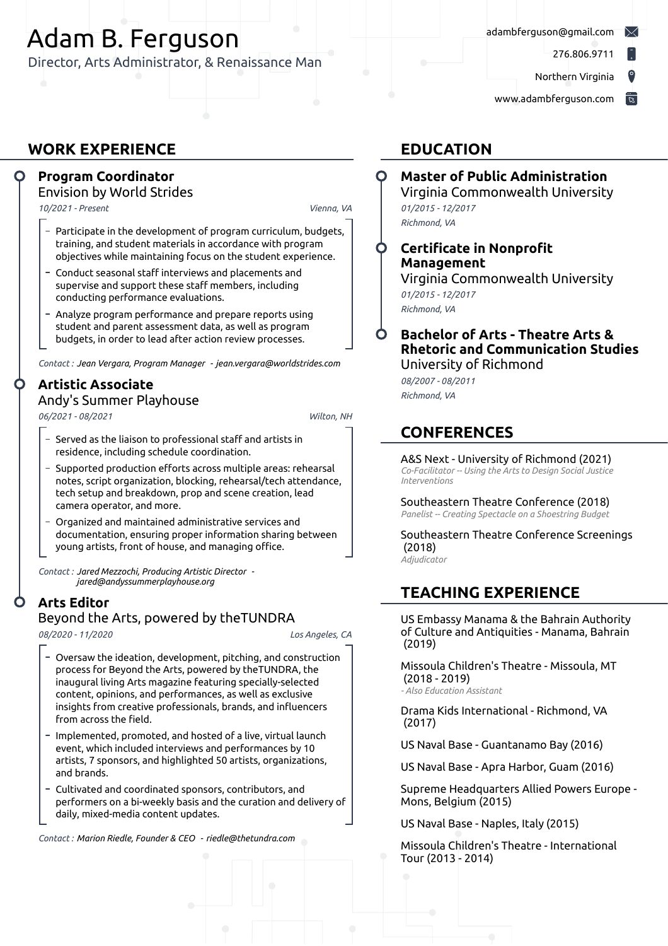# Adam B. Ferguson

Director, Arts Administrator, & Renaissance Man

[adambferguson@gmail.com](mailto:adambferguson@gmail.com)

276.806.9711

Northern Virginia

[www.adambferguson.com](http://www.adambferguson.com)

### **WORK EXPERIENCE**

### **Program Coordinator**

Envision by World Strides

*10/2021 - Present*, *Vienna, VA*

- Participate in the development of program curriculum, budgets, training, and student materials in accordance with program objectives while maintaining focus on the student experience.
- Conduct seasonal staff interviews and placements and supervise and support these staff members, including conducting performance evaluations.
- Analyze program performance and prepare reports using student and parent assessment data, as well as program budgets, in order to lead after action review processes.

*Contact :Jean Vergara, Program Manager - jean.vergara@worldstrides.com*

### **Artistic Associate**

#### Andy's Summer Playhouse

*06/2021 - 08/2021*, *Wilton, NH*

- Served as the liaison to professional staff and artists in residence, including schedule coordination.
- Supported production efforts across multiple areas: rehearsal notes, script organization, blocking, rehearsal/tech attendance, tech setup and breakdown, prop and scene creation, lead camera operator, and more.
- Organized and maintained administrative services and documentation, ensuring proper information sharing between young artists, front of house, and managing office.

*Contact :Jared Mezzochi, Producing Artistic Director jared@andyssummerplayhouse.org*

### **Arts Editor**

#### Beyond the Arts, powered by theTUNDRA

*08/2020 - 11/2020*, *Los Angeles, CA*

- Oversaw the ideation, development, pitching, and construction process for Beyond the Arts, powered by theTUNDRA, the inaugural living Arts magazine featuring specially-selected content, opinions, and performances, as well as exclusive insights from creative professionals, brands, and influencers from across the field.
- Implemented, promoted, and hosted of a live, virtual launch event, which included interviews and performances by 10 artists, 7 sponsors, and highlighted 50 artists, organizations, and brands.
- Cultivated and coordinated sponsors, contributors, and performers on a bi-weekly basis and the curation and delivery of daily, mixed-media content updates.

*Contact :Marion Riedle, Founder & CEO - riedle@thetundra.com*

### **EDUCATION**

### **Master of Public Administration**

Virginia Commonwealth University *01/2015 - 12/2017*,

- *Richmond, VA*
- **Certificate in Nonprofit Management** Virginia Commonwealth University

*01/2015 - 12/2017*, *Richmond, VA*

#### **Bachelor of Arts - Theatre Arts & Rhetoric and Communication Studies** University of Richmond

*08/2007 - 08/2011*, *Richmond, VA*

### **CONFERENCES**

A&S Next - University of Richmond (2021) *Co-Facilitator -- Using the Arts to Design Social Justice Interventions*

Southeastern Theatre Conference (2018) *Panelist -- Creating Spectacle on a Shoestring Budget*

Southeastern Theatre Conference Screenings (2018) *Adjudicator*

### **TEACHING EXPERIENCE**

US Embassy Manama & the Bahrain Authority of Culture and Antiquities - Manama, Bahrain (2019)

Missoula Children's Theatre - Missoula, MT (2018 - 2019) *- Also Education Assistant*

Drama Kids International - Richmond, VA (2017)

US Naval Base - Guantanamo Bay (2016)

US Naval Base - Apra Harbor, Guam (2016)

Supreme Headquarters Allied Powers Europe - Mons, Belgium (2015)

US Naval Base - Naples, Italy (2015)

Missoula Children's Theatre - International Tour (2013 - 2014)